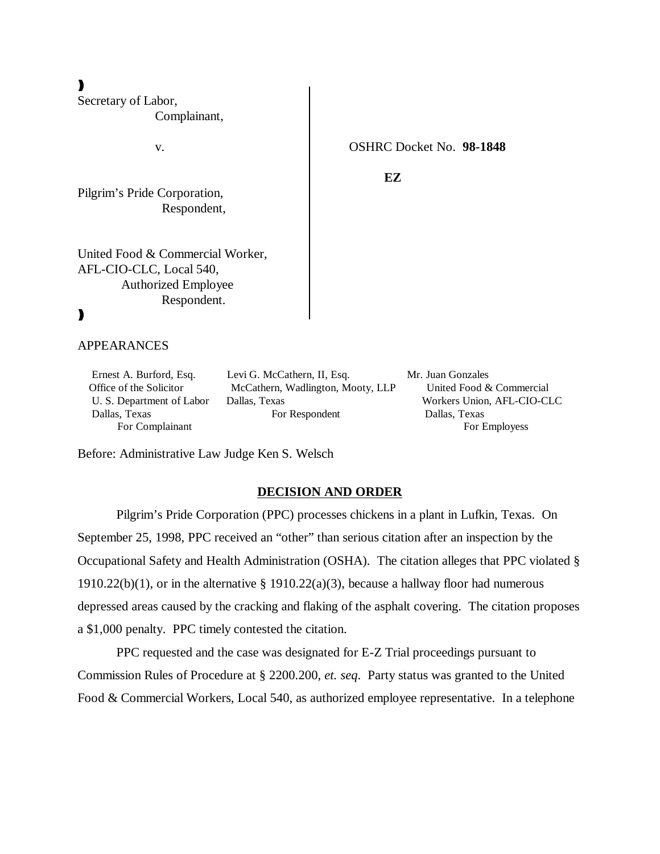)))

Secretary of Labor, Complainant,

Pilgrim's Pride Corporation, Respondent,

United Food & Commercial Worker, AFL-CIO-CLC, Local 540, Authorized Employee Respondent.

# )))

APPEARANCES

 Ernest A. Burford, Esq. Levi G. McCathern, II, Esq. Mr. Juan Gonzales Office of the Solicitor McCathern, Wadlington, Mooty, LLP United Food & Commercial U. S. Department of Labor Dallas, Texas Workers Union, AFL-CIO-CLC Dallas, Texas For Respondent Dallas, Texas

For Complainant For Employees

Before: Administrative Law Judge Ken S. Welsch

### **DECISION AND ORDER**

Pilgrim's Pride Corporation (PPC) processes chickens in a plant in Lufkin, Texas. On September 25, 1998, PPC received an "other" than serious citation after an inspection by the Occupational Safety and Health Administration (OSHA). The citation alleges that PPC violated § 1910.22(b)(1), or in the alternative  $\S$  1910.22(a)(3), because a hallway floor had numerous depressed areas caused by the cracking and flaking of the asphalt covering. The citation proposes a \$1,000 penalty. PPC timely contested the citation.

PPC requested and the case was designated for E-Z Trial proceedings pursuant to Commission Rules of Procedure at § 2200.200, *et. seq*. Party status was granted to the United Food & Commercial Workers, Local 540, as authorized employee representative. In a telephone

v. OSHRC Docket No. **98-1848**

**EZ**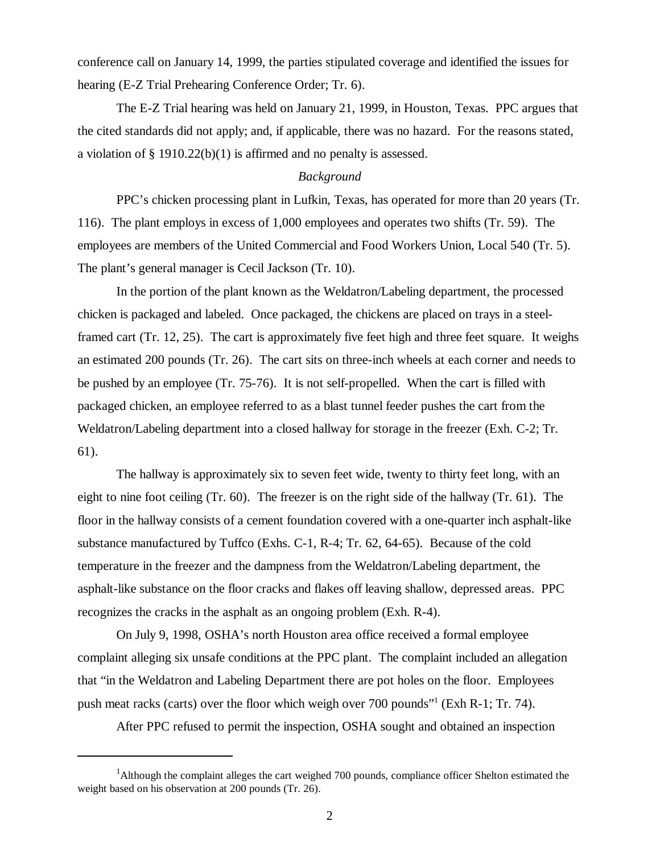conference call on January 14, 1999, the parties stipulated coverage and identified the issues for hearing (E-Z Trial Prehearing Conference Order; Tr. 6).

The E-Z Trial hearing was held on January 21, 1999, in Houston, Texas. PPC argues that the cited standards did not apply; and, if applicable, there was no hazard. For the reasons stated, a violation of  $\S$  1910.22(b)(1) is affirmed and no penalty is assessed.

# *Background*

PPC's chicken processing plant in Lufkin, Texas, has operated for more than 20 years (Tr. 116). The plant employs in excess of 1,000 employees and operates two shifts (Tr. 59). The employees are members of the United Commercial and Food Workers Union, Local 540 (Tr. 5). The plant's general manager is Cecil Jackson (Tr. 10).

In the portion of the plant known as the Weldatron/Labeling department, the processed chicken is packaged and labeled. Once packaged, the chickens are placed on trays in a steelframed cart (Tr. 12, 25). The cart is approximately five feet high and three feet square. It weighs an estimated 200 pounds (Tr. 26). The cart sits on three-inch wheels at each corner and needs to be pushed by an employee (Tr. 75-76). It is not self-propelled. When the cart is filled with packaged chicken, an employee referred to as a blast tunnel feeder pushes the cart from the Weldatron/Labeling department into a closed hallway for storage in the freezer (Exh. C-2; Tr. 61).

The hallway is approximately six to seven feet wide, twenty to thirty feet long, with an eight to nine foot ceiling (Tr. 60). The freezer is on the right side of the hallway (Tr. 61). The floor in the hallway consists of a cement foundation covered with a one-quarter inch asphalt-like substance manufactured by Tuffco (Exhs. C-1, R-4; Tr. 62, 64-65). Because of the cold temperature in the freezer and the dampness from the Weldatron/Labeling department, the asphalt-like substance on the floor cracks and flakes off leaving shallow, depressed areas. PPC recognizes the cracks in the asphalt as an ongoing problem (Exh. R-4).

On July 9, 1998, OSHA's north Houston area office received a formal employee complaint alleging six unsafe conditions at the PPC plant. The complaint included an allegation that "in the Weldatron and Labeling Department there are pot holes on the floor. Employees push meat racks (carts) over the floor which weigh over 700 pounds"<sup>1</sup> (Exh R-1; Tr. 74).

After PPC refused to permit the inspection, OSHA sought and obtained an inspection

<sup>&</sup>lt;sup>1</sup>Although the complaint alleges the cart weighed 700 pounds, compliance officer Shelton estimated the weight based on his observation at 200 pounds (Tr. 26).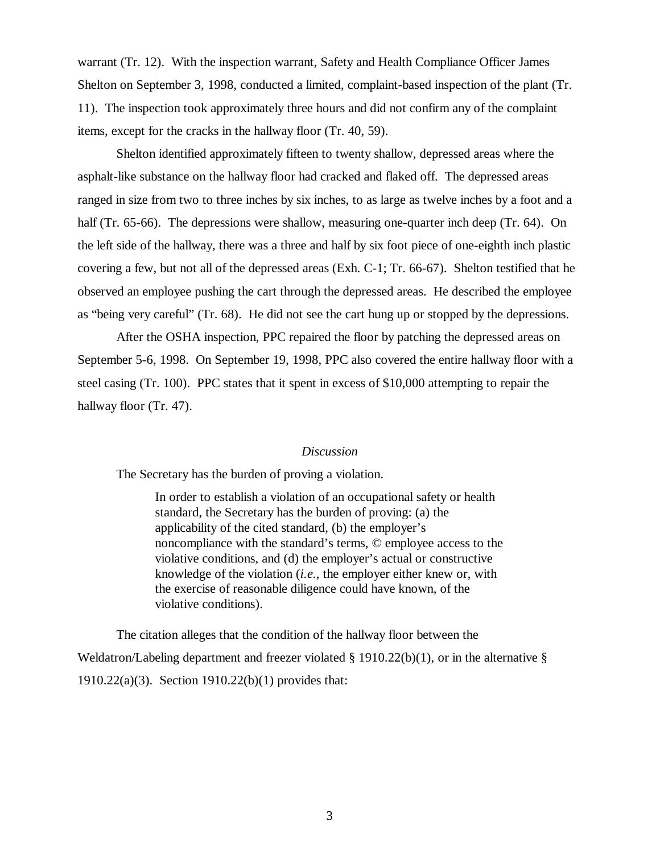warrant (Tr. 12). With the inspection warrant, Safety and Health Compliance Officer James Shelton on September 3, 1998, conducted a limited, complaint-based inspection of the plant (Tr. 11). The inspection took approximately three hours and did not confirm any of the complaint items, except for the cracks in the hallway floor (Tr. 40, 59).

Shelton identified approximately fifteen to twenty shallow, depressed areas where the asphalt-like substance on the hallway floor had cracked and flaked off. The depressed areas ranged in size from two to three inches by six inches, to as large as twelve inches by a foot and a half (Tr. 65-66). The depressions were shallow, measuring one-quarter inch deep (Tr. 64). On the left side of the hallway, there was a three and half by six foot piece of one-eighth inch plastic covering a few, but not all of the depressed areas (Exh. C-1; Tr. 66-67). Shelton testified that he observed an employee pushing the cart through the depressed areas. He described the employee as "being very careful" (Tr. 68). He did not see the cart hung up or stopped by the depressions.

After the OSHA inspection, PPC repaired the floor by patching the depressed areas on September 5-6, 1998. On September 19, 1998, PPC also covered the entire hallway floor with a steel casing (Tr. 100). PPC states that it spent in excess of \$10,000 attempting to repair the hallway floor (Tr. 47).

### *Discussion*

The Secretary has the burden of proving a violation.

In order to establish a violation of an occupational safety or health standard, the Secretary has the burden of proving: (a) the applicability of the cited standard, (b) the employer's noncompliance with the standard's terms, © employee access to the violative conditions, and (d) the employer's actual or constructive knowledge of the violation (*i.e.,* the employer either knew or, with the exercise of reasonable diligence could have known, of the violative conditions).

The citation alleges that the condition of the hallway floor between the Weldatron/Labeling department and freezer violated § 1910.22(b)(1), or in the alternative § 1910.22(a)(3). Section 1910.22(b)(1) provides that: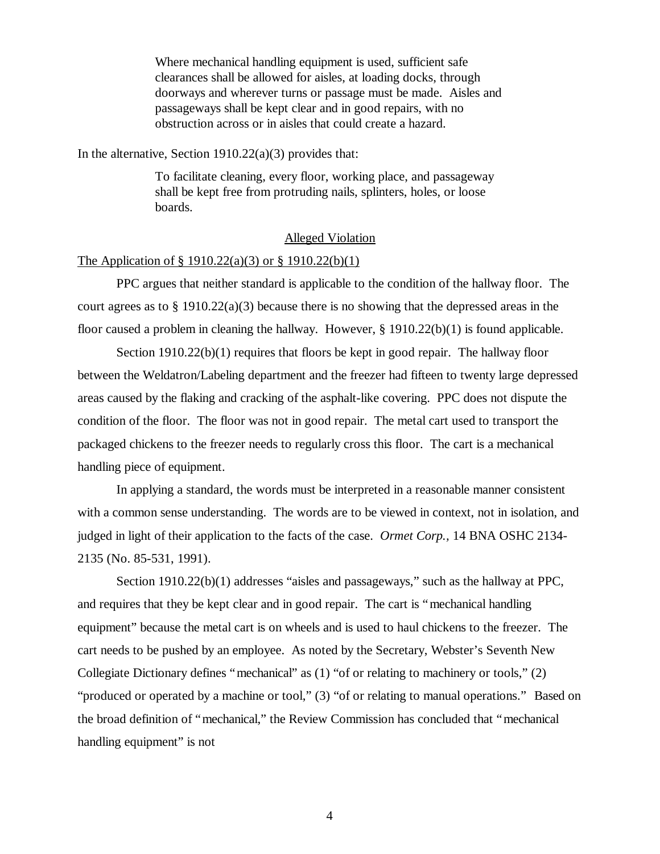Where mechanical handling equipment is used, sufficient safe clearances shall be allowed for aisles, at loading docks, through doorways and wherever turns or passage must be made. Aisles and passageways shall be kept clear and in good repairs, with no obstruction across or in aisles that could create a hazard.

In the alternative, Section  $1910.22(a)(3)$  provides that:

To facilitate cleaning, every floor, working place, and passageway shall be kept free from protruding nails, splinters, holes, or loose boards.

# Alleged Violation

# The Application of § 1910.22(a)(3) or § 1910.22(b)(1)

PPC argues that neither standard is applicable to the condition of the hallway floor. The court agrees as to § 1910.22(a)(3) because there is no showing that the depressed areas in the floor caused a problem in cleaning the hallway. However, § 1910.22(b)(1) is found applicable.

Section  $1910.22(b)(1)$  requires that floors be kept in good repair. The hallway floor between the Weldatron/Labeling department and the freezer had fifteen to twenty large depressed areas caused by the flaking and cracking of the asphalt-like covering. PPC does not dispute the condition of the floor. The floor was not in good repair. The metal cart used to transport the packaged chickens to the freezer needs to regularly cross this floor. The cart is a mechanical handling piece of equipment.

In applying a standard, the words must be interpreted in a reasonable manner consistent with a common sense understanding. The words are to be viewed in context, not in isolation, and judged in light of their application to the facts of the case. *Ormet Corp.,* 14 BNA OSHC 2134- 2135 (No. 85-531, 1991).

Section 1910.22(b)(1) addresses "aisles and passageways," such as the hallway at PPC, and requires that they be kept clear and in good repair. The cart is "mechanical handling equipment" because the metal cart is on wheels and is used to haul chickens to the freezer. The cart needs to be pushed by an employee. As noted by the Secretary, Webster's Seventh New Collegiate Dictionary defines "mechanical" as (1) "of or relating to machinery or tools," (2) "produced or operated by a machine or tool," (3) "of or relating to manual operations." Based on the broad definition of "mechanical," the Review Commission has concluded that "mechanical handling equipment" is not

4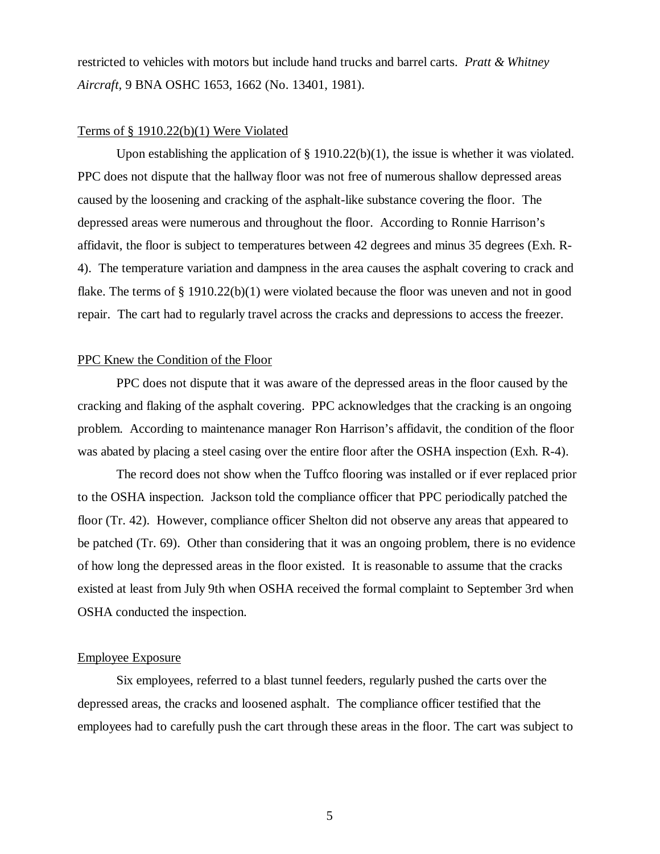restricted to vehicles with motors but include hand trucks and barrel carts. *Pratt & Whitney Aircraft,* 9 BNA OSHC 1653, 1662 (No. 13401, 1981).

### Terms of § 1910.22(b)(1) Were Violated

Upon establishing the application of § 1910.22(b)(1), the issue is whether it was violated. PPC does not dispute that the hallway floor was not free of numerous shallow depressed areas caused by the loosening and cracking of the asphalt-like substance covering the floor. The depressed areas were numerous and throughout the floor. According to Ronnie Harrison's affidavit, the floor is subject to temperatures between 42 degrees and minus 35 degrees (Exh. R-4). The temperature variation and dampness in the area causes the asphalt covering to crack and flake. The terms of § 1910.22(b)(1) were violated because the floor was uneven and not in good repair. The cart had to regularly travel across the cracks and depressions to access the freezer.

#### PPC Knew the Condition of the Floor

PPC does not dispute that it was aware of the depressed areas in the floor caused by the cracking and flaking of the asphalt covering. PPC acknowledges that the cracking is an ongoing problem. According to maintenance manager Ron Harrison's affidavit, the condition of the floor was abated by placing a steel casing over the entire floor after the OSHA inspection (Exh. R-4).

The record does not show when the Tuffco flooring was installed or if ever replaced prior to the OSHA inspection. Jackson told the compliance officer that PPC periodically patched the floor (Tr. 42). However, compliance officer Shelton did not observe any areas that appeared to be patched (Tr. 69). Other than considering that it was an ongoing problem, there is no evidence of how long the depressed areas in the floor existed. It is reasonable to assume that the cracks existed at least from July 9th when OSHA received the formal complaint to September 3rd when OSHA conducted the inspection.

# Employee Exposure

Six employees, referred to a blast tunnel feeders, regularly pushed the carts over the depressed areas, the cracks and loosened asphalt. The compliance officer testified that the employees had to carefully push the cart through these areas in the floor. The cart was subject to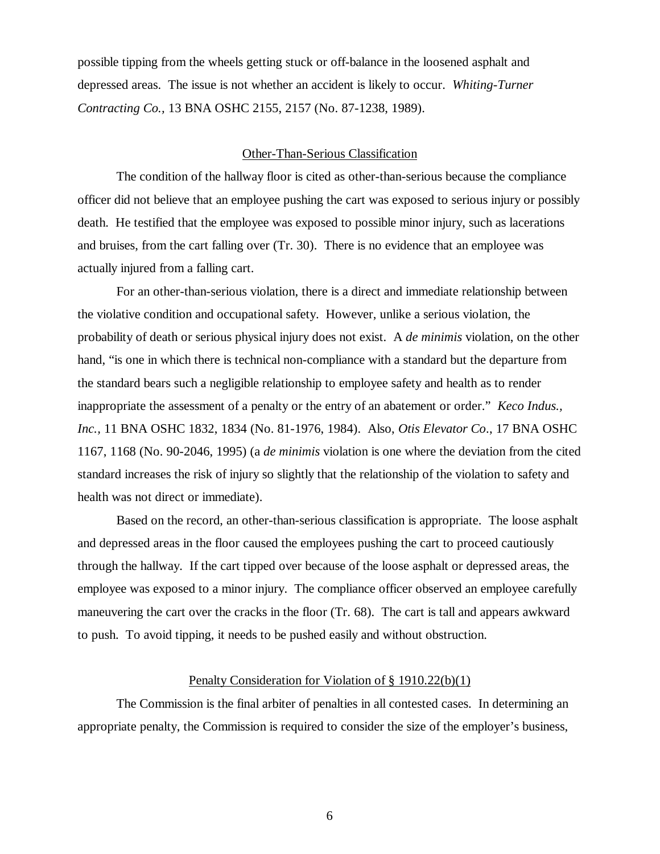possible tipping from the wheels getting stuck or off-balance in the loosened asphalt and depressed areas. The issue is not whether an accident is likely to occur. *Whiting-Turner Contracting Co.,* 13 BNA OSHC 2155, 2157 (No. 87-1238, 1989).

### Other-Than-Serious Classification

The condition of the hallway floor is cited as other-than-serious because the compliance officer did not believe that an employee pushing the cart was exposed to serious injury or possibly death. He testified that the employee was exposed to possible minor injury, such as lacerations and bruises, from the cart falling over (Tr. 30). There is no evidence that an employee was actually injured from a falling cart.

For an other-than-serious violation, there is a direct and immediate relationship between the violative condition and occupational safety. However, unlike a serious violation, the probability of death or serious physical injury does not exist. A *de minimis* violation, on the other hand, "is one in which there is technical non-compliance with a standard but the departure from the standard bears such a negligible relationship to employee safety and health as to render inappropriate the assessment of a penalty or the entry of an abatement or order." *Keco Indus., Inc.,* 11 BNA OSHC 1832, 1834 (No. 81-1976, 1984). Also, *Otis Elevator Co*., 17 BNA OSHC 1167, 1168 (No. 90-2046, 1995) (a *de minimis* violation is one where the deviation from the cited standard increases the risk of injury so slightly that the relationship of the violation to safety and health was not direct or immediate).

Based on the record, an other-than-serious classification is appropriate. The loose asphalt and depressed areas in the floor caused the employees pushing the cart to proceed cautiously through the hallway. If the cart tipped over because of the loose asphalt or depressed areas, the employee was exposed to a minor injury. The compliance officer observed an employee carefully maneuvering the cart over the cracks in the floor (Tr. 68). The cart is tall and appears awkward to push. To avoid tipping, it needs to be pushed easily and without obstruction.

### Penalty Consideration for Violation of § 1910.22(b)(1)

The Commission is the final arbiter of penalties in all contested cases. In determining an appropriate penalty, the Commission is required to consider the size of the employer's business,